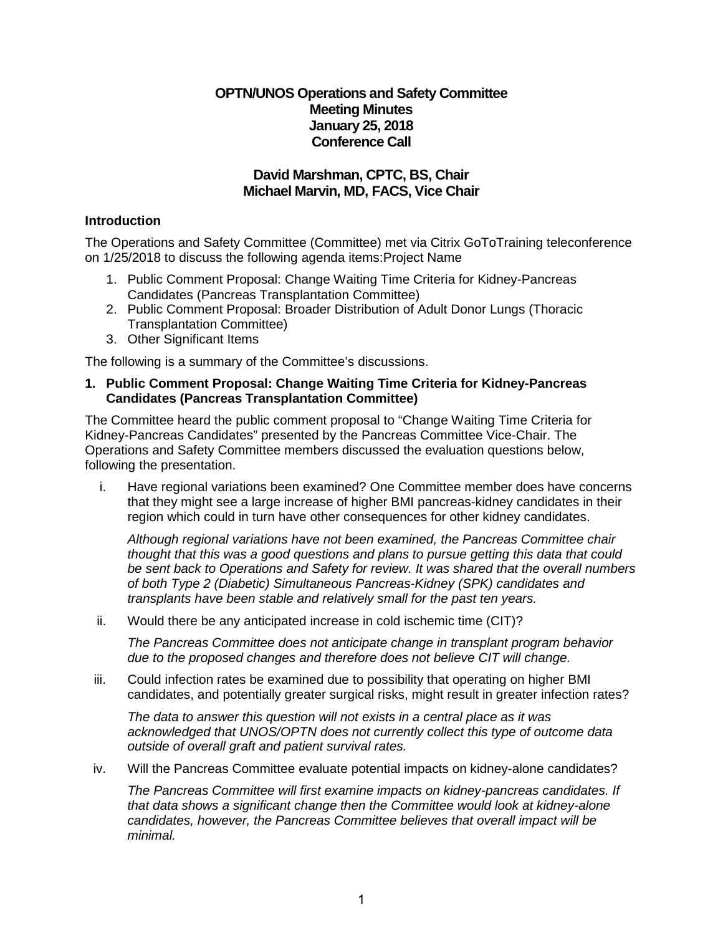# **OPTN/UNOS Operations and Safety Committee Meeting Minutes January 25, 2018 Conference Call**

# **David Marshman, CPTC, BS, Chair Michael Marvin, MD, FACS, Vice Chair**

### **Introduction**

The Operations and Safety Committee (Committee) met via Citrix GoToTraining teleconference on 1/25/2018 to discuss the following agenda items:Project Name

- 1. Public Comment Proposal: Change Waiting Time Criteria for Kidney-Pancreas Candidates (Pancreas Transplantation Committee)
- 2. Public Comment Proposal: Broader Distribution of Adult Donor Lungs (Thoracic Transplantation Committee)
- 3. Other Significant Items

The following is a summary of the Committee's discussions.

#### **1. Public Comment Proposal: Change Waiting Time Criteria for Kidney-Pancreas Candidates (Pancreas Transplantation Committee)**

The Committee heard the public comment proposal to "Change Waiting Time Criteria for Kidney-Pancreas Candidates" presented by the Pancreas Committee Vice-Chair. The Operations and Safety Committee members discussed the evaluation questions below, following the presentation.

i. Have regional variations been examined? One Committee member does have concerns that they might see a large increase of higher BMI pancreas-kidney candidates in their region which could in turn have other consequences for other kidney candidates.

*Although regional variations have not been examined, the Pancreas Committee chair thought that this was a good questions and plans to pursue getting this data that could be sent back to Operations and Safety for review. It was shared that the overall numbers of both Type 2 (Diabetic) Simultaneous Pancreas-Kidney (SPK) candidates and transplants have been stable and relatively small for the past ten years.*

ii. Would there be any anticipated increase in cold ischemic time (CIT)?

*The Pancreas Committee does not anticipate change in transplant program behavior due to the proposed changes and therefore does not believe CIT will change.*

iii. Could infection rates be examined due to possibility that operating on higher BMI candidates, and potentially greater surgical risks, might result in greater infection rates?

*The data to answer this question will not exists in a central place as it was acknowledged that UNOS/OPTN does not currently collect this type of outcome data outside of overall graft and patient survival rates.*

iv. Will the Pancreas Committee evaluate potential impacts on kidney-alone candidates?

*The Pancreas Committee will first examine impacts on kidney-pancreas candidates. If that data shows a significant change then the Committee would look at kidney-alone candidates, however, the Pancreas Committee believes that overall impact will be minimal.*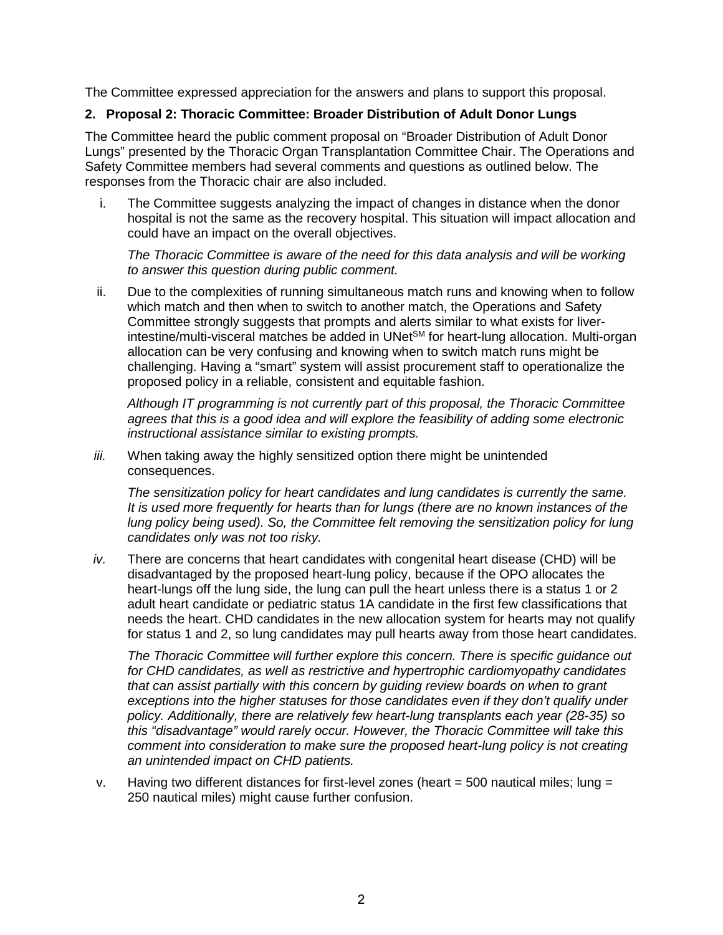The Committee expressed appreciation for the answers and plans to support this proposal.

# **2. Proposal 2: Thoracic Committee: Broader Distribution of Adult Donor Lungs**

The Committee heard the public comment proposal on "Broader Distribution of Adult Donor Lungs" presented by the Thoracic Organ Transplantation Committee Chair. The Operations and Safety Committee members had several comments and questions as outlined below. The responses from the Thoracic chair are also included.

i. The Committee suggests analyzing the impact of changes in distance when the donor hospital is not the same as the recovery hospital. This situation will impact allocation and could have an impact on the overall objectives.

*The Thoracic Committee is aware of the need for this data analysis and will be working to answer this question during public comment.*

ii. Due to the complexities of running simultaneous match runs and knowing when to follow which match and then when to switch to another match, the Operations and Safety Committee strongly suggests that prompts and alerts similar to what exists for liverintestine/multi-visceral matches be added in UNetSM for heart-lung allocation. Multi-organ allocation can be very confusing and knowing when to switch match runs might be challenging. Having a "smart" system will assist procurement staff to operationalize the proposed policy in a reliable, consistent and equitable fashion.

*Although IT programming is not currently part of this proposal, the Thoracic Committee agrees that this is a good idea and will explore the feasibility of adding some electronic instructional assistance similar to existing prompts.*

*iii.* When taking away the highly sensitized option there might be unintended consequences.

*The sensitization policy for heart candidates and lung candidates is currently the same. It is used more frequently for hearts than for lungs (there are no known instances of the lung policy being used). So, the Committee felt removing the sensitization policy for lung candidates only was not too risky.*

*iv.* There are concerns that heart candidates with congenital heart disease (CHD) will be disadvantaged by the proposed heart-lung policy, because if the OPO allocates the heart-lungs off the lung side, the lung can pull the heart unless there is a status 1 or 2 adult heart candidate or pediatric status 1A candidate in the first few classifications that needs the heart. CHD candidates in the new allocation system for hearts may not qualify for status 1 and 2, so lung candidates may pull hearts away from those heart candidates.

*The Thoracic Committee will further explore this concern. There is specific guidance out for CHD candidates, as well as restrictive and hypertrophic cardiomyopathy candidates that can assist partially with this concern by guiding review boards on when to grant exceptions into the higher statuses for those candidates even if they don't qualify under policy. Additionally, there are relatively few heart-lung transplants each year (28-35) so this "disadvantage" would rarely occur. However, the Thoracic Committee will take this comment into consideration to make sure the proposed heart-lung policy is not creating an unintended impact on CHD patients.*

v. Having two different distances for first-level zones (heart  $=$  500 nautical miles; lung  $=$ 250 nautical miles) might cause further confusion.